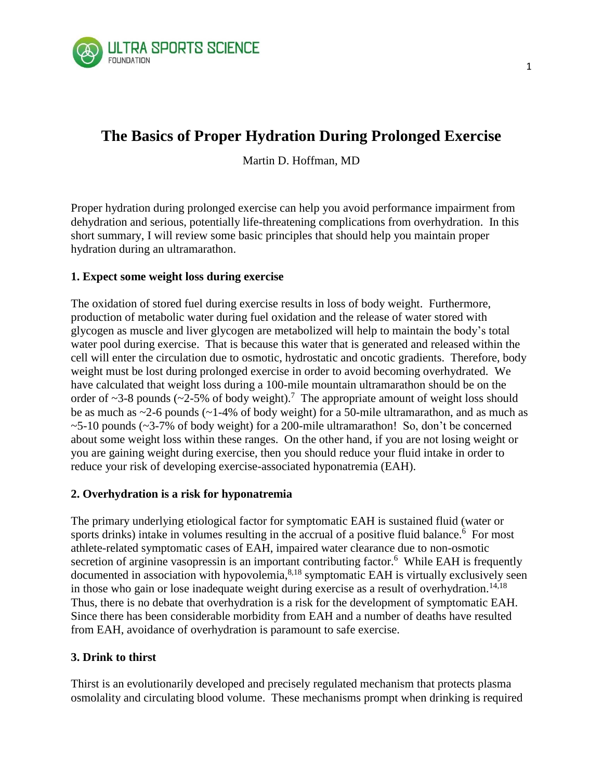

# **The Basics of Proper Hydration During Prolonged Exercise**

Martin D. Hoffman, MD

Proper hydration during prolonged exercise can help you avoid performance impairment from dehydration and serious, potentially life-threatening complications from overhydration. In this short summary, I will review some basic principles that should help you maintain proper hydration during an ultramarathon.

# **1. Expect some weight loss during exercise**

The oxidation of stored fuel during exercise results in loss of body weight. Furthermore, production of metabolic water during fuel oxidation and the release of water stored with glycogen as muscle and liver glycogen are metabolized will help to maintain the body's total water pool during exercise. That is because this water that is generated and released within the cell will enter the circulation due to osmotic, hydrostatic and oncotic gradients. Therefore, body weight must be lost during prolonged exercise in order to avoid becoming overhydrated. We have calculated that weight loss during a 100-mile mountain ultramarathon should be on the order of  $\sim$ 3-8 pounds ( $\sim$ 2-5% of body weight).<sup>7</sup> The appropriate amount of weight loss should be as much as ~2-6 pounds (~1-4% of body weight) for a 50-mile ultramarathon, and as much as  $\sim$  5-10 pounds ( $\sim$ 3-7% of body weight) for a 200-mile ultramarathon! So, don't be concerned about some weight loss within these ranges. On the other hand, if you are not losing weight or you are gaining weight during exercise, then you should reduce your fluid intake in order to reduce your risk of developing exercise-associated hyponatremia (EAH).

# **2. Overhydration is a risk for hyponatremia**

The primary underlying etiological factor for symptomatic EAH is sustained fluid (water or sports drinks) intake in volumes resulting in the accrual of a positive fluid balance.<sup>6</sup> For most athlete-related symptomatic cases of EAH, impaired water clearance due to non-osmotic secretion of arginine vasopressin is an important contributing factor.<sup>6</sup> While EAH is frequently documented in association with hypovolemia, $8,18$  symptomatic EAH is virtually exclusively seen in those who gain or lose inadequate weight during exercise as a result of overhydration.<sup>14,18</sup> Thus, there is no debate that overhydration is a risk for the development of symptomatic EAH. Since there has been considerable morbidity from EAH and a number of deaths have resulted from EAH, avoidance of overhydration is paramount to safe exercise.

# **3. Drink to thirst**

Thirst is an evolutionarily developed and precisely regulated mechanism that protects plasma osmolality and circulating blood volume. These mechanisms prompt when drinking is required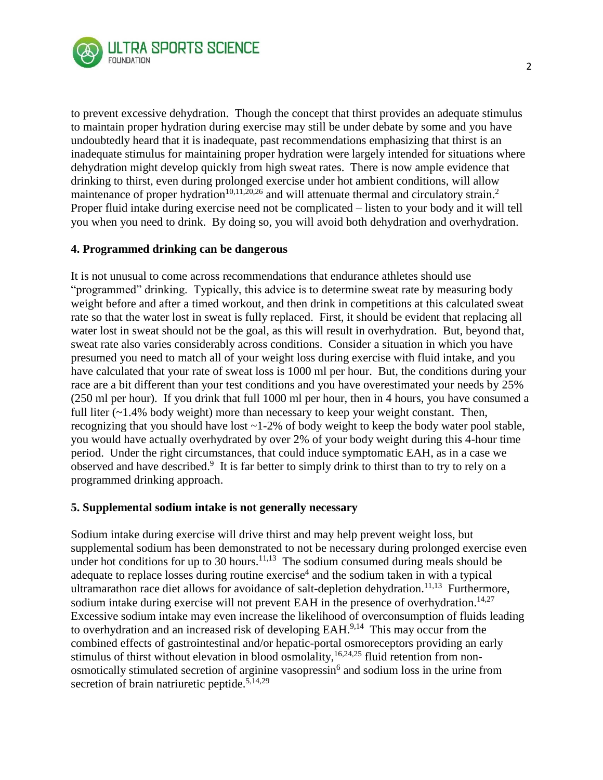

to prevent excessive dehydration. Though the concept that thirst provides an adequate stimulus to maintain proper hydration during exercise may still be under debate by some and you have undoubtedly heard that it is inadequate, past recommendations emphasizing that thirst is an inadequate stimulus for maintaining proper hydration were largely intended for situations where dehydration might develop quickly from high sweat rates. There is now ample evidence that drinking to thirst, even during prolonged exercise under hot ambient conditions, will allow maintenance of proper hydration<sup>10,11,20,26</sup> and will attenuate thermal and circulatory strain.<sup>2</sup> Proper fluid intake during exercise need not be complicated – listen to your body and it will tell you when you need to drink. By doing so, you will avoid both dehydration and overhydration.

# **4. Programmed drinking can be dangerous**

It is not unusual to come across recommendations that endurance athletes should use "programmed" drinking. Typically, this advice is to determine sweat rate by measuring body weight before and after a timed workout, and then drink in competitions at this calculated sweat rate so that the water lost in sweat is fully replaced. First, it should be evident that replacing all water lost in sweat should not be the goal, as this will result in overhydration. But, beyond that, sweat rate also varies considerably across conditions. Consider a situation in which you have presumed you need to match all of your weight loss during exercise with fluid intake, and you have calculated that your rate of sweat loss is 1000 ml per hour. But, the conditions during your race are a bit different than your test conditions and you have overestimated your needs by 25% (250 ml per hour). If you drink that full 1000 ml per hour, then in 4 hours, you have consumed a full liter  $(-1.4\%$  body weight) more than necessary to keep your weight constant. Then, recognizing that you should have lost  $\sim$  1-2% of body weight to keep the body water pool stable, you would have actually overhydrated by over 2% of your body weight during this 4-hour time period. Under the right circumstances, that could induce symptomatic EAH, as in a case we observed and have described.<sup>9</sup> It is far better to simply drink to thirst than to try to rely on a programmed drinking approach.

# **5. Supplemental sodium intake is not generally necessary**

Sodium intake during exercise will drive thirst and may help prevent weight loss, but supplemental sodium has been demonstrated to not be necessary during prolonged exercise even under hot conditions for up to 30 hours.<sup>11,13</sup> The sodium consumed during meals should be adequate to replace losses during routine exercise<sup>4</sup> and the sodium taken in with a typical ultramarathon race diet allows for avoidance of salt-depletion dehydration.<sup>11,13</sup> Furthermore, sodium intake during exercise will not prevent EAH in the presence of overhydration.<sup>14,27</sup> Excessive sodium intake may even increase the likelihood of overconsumption of fluids leading to overhydration and an increased risk of developing EAH.<sup>9,14</sup> This may occur from the combined effects of gastrointestinal and/or hepatic-portal osmoreceptors providing an early stimulus of thirst without elevation in blood osmolality, <sup>16,24,25</sup> fluid retention from nonosmotically stimulated secretion of arginine vasopressin<sup>6</sup> and sodium loss in the urine from secretion of brain natriuretic peptide.<sup>5,14,29</sup>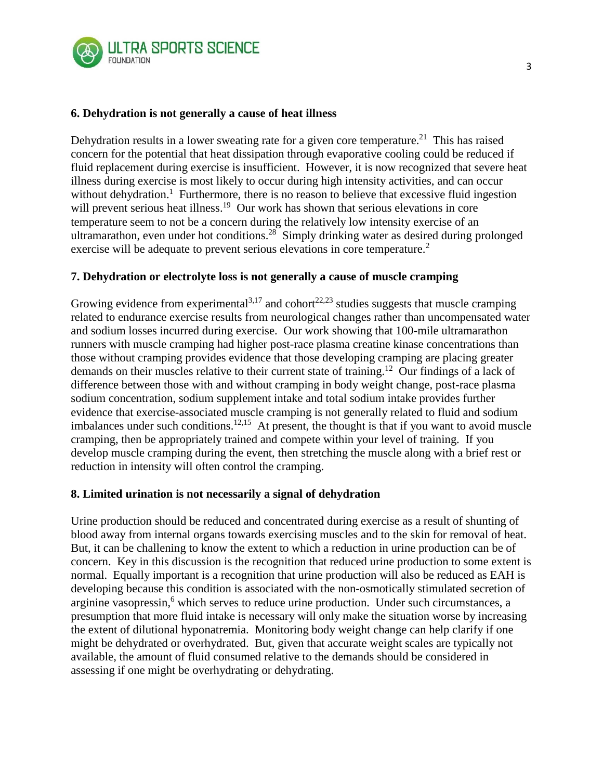

# **6. Dehydration is not generally a cause of heat illness**

Dehydration results in a lower sweating rate for a given core temperature.<sup>21</sup> This has raised concern for the potential that heat dissipation through evaporative cooling could be reduced if fluid replacement during exercise is insufficient. However, it is now recognized that severe heat illness during exercise is most likely to occur during high intensity activities, and can occur without dehydration.<sup>1</sup> Furthermore, there is no reason to believe that excessive fluid ingestion will prevent serious heat illness.<sup>19</sup> Our work has shown that serious elevations in core temperature seem to not be a concern during the relatively low intensity exercise of an ultramarathon, even under hot conditions.<sup>28</sup> Simply drinking water as desired during prolonged exercise will be adequate to prevent serious elevations in core temperature.<sup>2</sup>

# **7. Dehydration or electrolyte loss is not generally a cause of muscle cramping**

Growing evidence from experimental<sup>3,17</sup> and cohort<sup>22,23</sup> studies suggests that muscle cramping related to endurance exercise results from neurological changes rather than uncompensated water and sodium losses incurred during exercise. Our work showing that 100-mile ultramarathon runners with muscle cramping had higher post-race plasma creatine kinase concentrations than those without cramping provides evidence that those developing cramping are placing greater demands on their muscles relative to their current state of training.<sup>12</sup> Our findings of a lack of difference between those with and without cramping in body weight change, post-race plasma sodium concentration, sodium supplement intake and total sodium intake provides further evidence that exercise-associated muscle cramping is not generally related to fluid and sodium imbalances under such conditions.<sup>12,15</sup> At present, the thought is that if you want to avoid muscle cramping, then be appropriately trained and compete within your level of training. If you develop muscle cramping during the event, then stretching the muscle along with a brief rest or reduction in intensity will often control the cramping.

# **8. Limited urination is not necessarily a signal of dehydration**

Urine production should be reduced and concentrated during exercise as a result of shunting of blood away from internal organs towards exercising muscles and to the skin for removal of heat. But, it can be challening to know the extent to which a reduction in urine production can be of concern. Key in this discussion is the recognition that reduced urine production to some extent is normal. Equally important is a recognition that urine production will also be reduced as EAH is developing because this condition is associated with the non-osmotically stimulated secretion of arginine vasopressin, <sup>6</sup> which serves to reduce urine production. Under such circumstances, a presumption that more fluid intake is necessary will only make the situation worse by increasing the extent of dilutional hyponatremia. Monitoring body weight change can help clarify if one might be dehydrated or overhydrated. But, given that accurate weight scales are typically not available, the amount of fluid consumed relative to the demands should be considered in assessing if one might be overhydrating or dehydrating.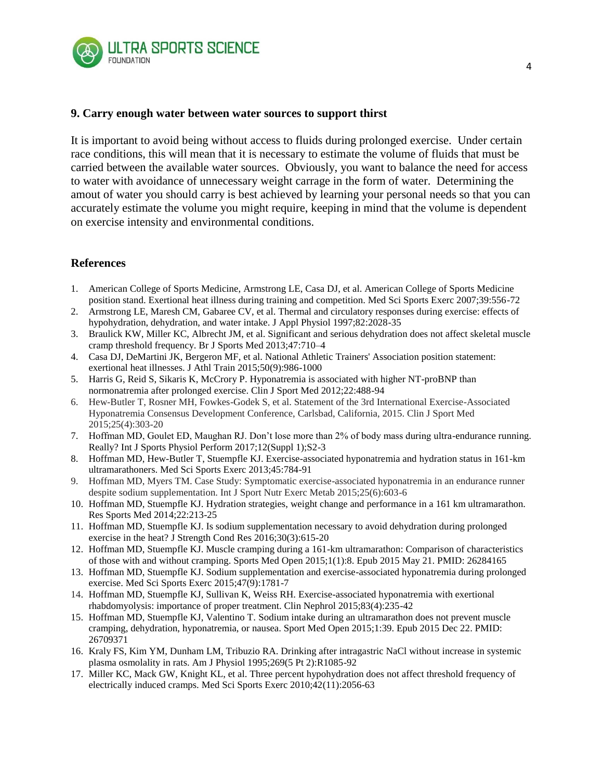

#### **9. Carry enough water between water sources to support thirst**

It is important to avoid being without access to fluids during prolonged exercise. Under certain race conditions, this will mean that it is necessary to estimate the volume of fluids that must be carried between the available water sources. Obviously, you want to balance the need for access to water with avoidance of unnecessary weight carrage in the form of water. Determining the amout of water you should carry is best achieved by learning your personal needs so that you can accurately estimate the volume you might require, keeping in mind that the volume is dependent on exercise intensity and environmental conditions.

# **References**

- 1. American College of Sports Medicine, Armstrong LE, Casa DJ, et al. American College of Sports Medicine position stand. Exertional heat illness during training and competition. Med Sci Sports Exerc 2007;39:556-72
- 2. Armstrong LE, Maresh CM, Gabaree CV, et al. Thermal and circulatory responses during exercise: effects of hypohydration, dehydration, and water intake. J Appl Physiol 1997;82:2028-35
- 3. Braulick KW, Miller KC, Albrecht JM, et al. Significant and serious dehydration does not affect skeletal muscle cramp threshold frequency. Br J Sports Med 2013;47:710–4
- 4. Casa DJ, DeMartini JK, Bergeron MF, et al. National Athletic Trainers' Association position statement: exertional heat illnesses. J Athl Train 2015;50(9):986-1000
- 5. Harris G, Reid S, Sikaris K, McCrory P. Hyponatremia is associated with higher NT-proBNP than normonatremia after prolonged exercise. Clin J Sport Med 2012;22:488-94
- 6. Hew-Butler T, Rosner MH, Fowkes-Godek S, et al. Statement of the 3rd International Exercise-Associated Hyponatremia Consensus Development Conference, Carlsbad, California, 2015. Clin J Sport Med 2015;25(4):303-20
- 7. Hoffman MD, Goulet ED, Maughan RJ. Don't lose more than 2% of body mass during ultra-endurance running. Really? Int J Sports Physiol Perform 2017;12(Suppl 1);S2-3
- 8. Hoffman MD, Hew-Butler T, Stuempfle KJ. Exercise-associated hyponatremia and hydration status in 161-km ultramarathoners. Med Sci Sports Exerc 2013;45:784-91
- 9. Hoffman MD, Myers TM. Case Study: Symptomatic exercise-associated hyponatremia in an endurance runner despite sodium supplementation. Int J Sport Nutr Exerc Metab 2015;25(6):603-6
- 10. Hoffman MD, Stuempfle KJ. [Hydration strategies, weight change and performance in a 161 km ultramarathon.](http://www.ncbi.nlm.nih.gov/pubmed/24950110) Res Sports Med 2014;22:213-25
- 11. Hoffman MD, Stuempfle KJ. Is sodium supplementation necessary to avoid dehydration during prolonged exercise in the heat? J Strength Cond Res 2016;30(3):615-20
- 12. Hoffman MD, Stuempfle KJ. Muscle cramping during a 161-km ultramarathon: Comparison of characteristics of those with and without cramping. Sports Med Open 2015;1(1):8. Epub 2015 May 21. PMID: 26284165
- 13. Hoffman MD, Stuempfle KJ. Sodium supplementation and exercise-associated hyponatremia during prolonged exercise. Med Sci Sports Exerc 2015;47(9):1781-7
- 14. Hoffman MD, Stuempfle KJ, Sullivan K, Weiss RH. Exercise-associated hyponatremia with exertional rhabdomyolysis: importance of proper treatment. Clin Nephrol 2015;83(4):235-42
- 15. Hoffman MD, Stuempfle KJ, Valentino T. Sodium intake during an ultramarathon does not prevent muscle cramping, dehydration, hyponatremia, or nausea. Sport Med Open 2015;1:39. Epub 2015 Dec 22. PMID: 26709371
- 16. Kraly FS, Kim YM, Dunham LM, Tribuzio RA. Drinking after intragastric NaCl without increase in systemic plasma osmolality in rats. Am J Physiol 1995;269(5 Pt 2):R1085-92
- 17. Miller KC, Mack GW, Knight KL, et al. Three percent hypohydration does not affect threshold frequency of electrically induced cramps. Med Sci Sports Exerc 2010;42(11):2056-63